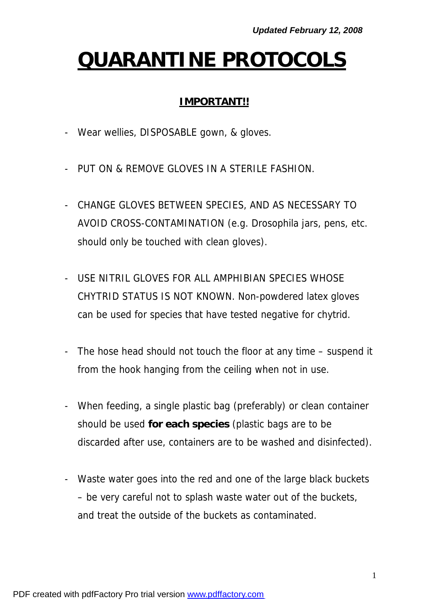# **QUARANTINE PROTOCOLS**

#### **IMPORTANT!!**

- Wear wellies, DISPOSABLE gown, & gloves.
- PUT ON & REMOVE GLOVES IN A STERILE FASHION.
- CHANGE GLOVES BETWEEN SPECIES, AND AS NECESSARY TO AVOID CROSS-CONTAMINATION (*e.g. Drosophila* jars, pens, etc. should only be touched with clean gloves).
- USE NITRIL GLOVES FOR ALL AMPHIBIAN SPECIES WHOSE CHYTRID STATUS IS NOT KNOWN. Non-powdered latex gloves can be used for species that have tested negative for chytrid.
- The hose head should not touch the floor at any time suspend it from the hook hanging from the ceiling when not in use.
- When feeding, a single plastic bag (preferably) or clean container should be used **for each species** (plastic bags are to be discarded after use, containers are to be washed and disinfected).
- Waste water goes into the red and one of the large black buckets – be very careful not to splash waste water out of the buckets, and treat the outside of the buckets as contaminated.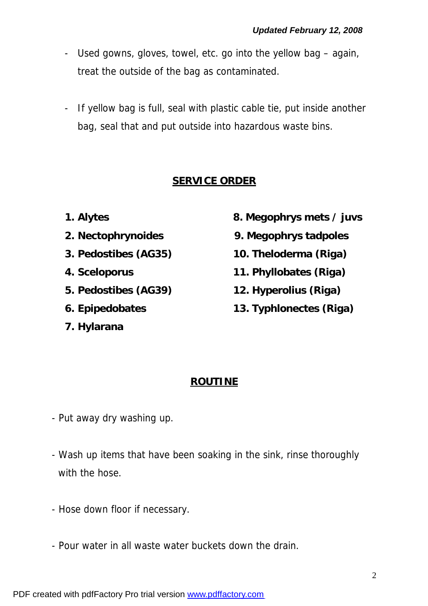- Used gowns, gloves, towel, etc. go into the yellow bag again, treat the outside of the bag as contaminated.
- If yellow bag is full, seal with plastic cable tie, put inside another bag, seal that and put outside into hazardous waste bins.

## **SERVICE ORDER**

- 
- 
- 
- 
- 
- 
- **7.** *Hylarana*
- **1.** *Alytes* **8.** *Megophrys* **mets / juvs**
- **2.** *Nectophrynoides* **9.** *Megophrys* **tadpoles**
- **3.** *Pedostibes* **(AG35) 10.** *Theloderma* **(Riga)**
- **4.** *Sceloporus* **11.** *Phyllobates* **(Riga)**
- **5.** *Pedostibes* **(AG39) 12.** *Hyperolius* **(Riga)**
- **6.** *Epipedobates* **13.** *Typhlonectes* **(Riga)**

#### **ROUTINE**

- Put away dry washing up.
- Wash up items that have been soaking in the sink, rinse thoroughly *with the hose*.
- Hose down floor *if necessary*.
- Pour water in all waste water buckets down the drain.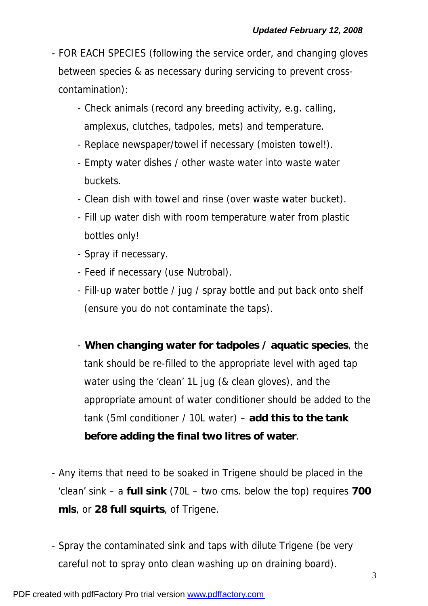- FOR EACH SPECIES (following the service order, and changing gloves between species & as necessary during servicing to prevent crosscontamination):
	- Check animals (record any breeding activity, *e.g.* calling, amplexus, clutches, tadpoles, mets) and temperature.
	- Replace newspaper/towel if necessary (moisten towel!).
	- Empty water dishes / other waste water into waste water buckets.
	- Clean dish with towel and rinse (over waste water bucket).
	- Fill up water dish *with room temperature water from plastic bottles only*!
	- Spray if necessary.
	- Feed if necessary (use Nutrobal).
	- Fill-up water bottle / jug / spray bottle and put back onto shelf (ensure you do not contaminate the taps).
	- **When changing water for tadpoles / aquatic species**, the tank should be re-filled to the appropriate level with aged tap water using the 'clean' 1L jug (& clean gloves), and the appropriate amount of water conditioner should be added to the tank (5ml conditioner / 10L water) – **add this to the tank before adding the final two litres of water**.
- Any items that need to be soaked in Trigene should be placed in the 'clean' sink – a **full sink** (70L – two cms. below the top) requires **700 mls**, or **28 full squirts**, of Trigene.
- Spray the contaminated sink and taps with dilute Trigene (be very careful not to spray onto clean washing up on draining board).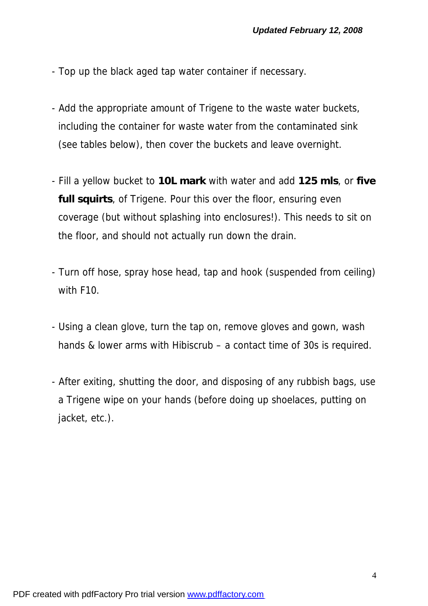- Top up the black aged tap water container if necessary.
- Add the appropriate amount of Trigene to the waste water buckets, including the container for waste water from the contaminated sink (see tables below), then cover the buckets and leave overnight.
- Fill a yellow bucket to **10L mark** with water and add **125 mls**, or **five full squirts**, of Trigene. Pour this over the floor, ensuring even coverage (but without splashing into enclosures!). This needs to sit on the floor, and should not actually run down the drain.
- Turn off hose, spray hose head, tap and hook (suspended from ceiling) with F10.
- Using a clean glove, turn the tap on, remove gloves and gown, wash hands & lower arms with Hibiscrub – *a contact time of 30s is required*.
- After exiting, shutting the door, and disposing of any rubbish bags, use a Trigene wipe on your hands (before doing up shoelaces, putting on jacket, etc.).